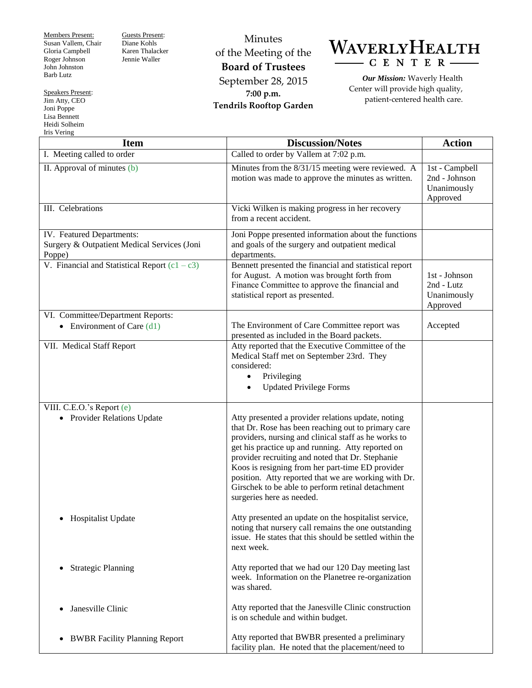Members Present: Susan Vallem, Chair Gloria Campbell Roger Johnson John Johnston Barb Lutz

Guests Present: Diane Kohls Karen Thalacker Jennie Waller

Minutes of the Meeting of the **Board of Trustees** September 28, 2015 **7:00 p.m. Tendrils Rooftop Garden**

WAVERLYHEALTH CENTER

*Our Mission:* Waverly Health Center will provide high quality, patient-centered health care.

**Item Discussion/Notes Action** I. Meeting called to order Called to order Called to order by Vallem at 7:02 p.m. II. Approval of minutes (b) Minutes from the 8/31/15 meeting were reviewed. A motion was made to approve the minutes as written. 1st - Campbell 2nd - Johnson Unanimously Approved III. Celebrations Vicki Wilken is making progress in her recovery from a recent accident. IV. Featured Departments: Surgery & Outpatient Medical Services (Joni Poppe) Joni Poppe presented information about the functions and goals of the surgery and outpatient medical departments. V. Financial and Statistical Report  $(c1 - c3)$  Bennett presented the financial and statistical report for August. A motion was brought forth from Finance Committee to approve the financial and statistical report as presented. 1st - Johnson 2nd - Lutz Unanimously Approved VI. Committee/Department Reports: • Environment of Care (d1) The Environment of Care Committee report was presented as included in the Board packets. Accepted VII. Medical Staff Report  $\vert$  Atty reported that the Executive Committee of the Medical Staff met on September 23rd. They considered: • Privileging Updated Privilege Forms VIII. C.E.O.'s Report (e) • Provider Relations Update • Hospitalist Update Strategic Planning Janesville Clinic • BWBR Facility Planning Report Atty presented a provider relations update, noting that Dr. Rose has been reaching out to primary care providers, nursing and clinical staff as he works to get his practice up and running. Atty reported on provider recruiting and noted that Dr. Stephanie Koos is resigning from her part-time ED provider position. Atty reported that we are working with Dr. Girschek to be able to perform retinal detachment surgeries here as needed. Atty presented an update on the hospitalist service, noting that nursery call remains the one outstanding issue. He states that this should be settled within the next week. Atty reported that we had our 120 Day meeting last week. Information on the Planetree re-organization was shared. Atty reported that the Janesville Clinic construction is on schedule and within budget. Atty reported that BWBR presented a preliminary facility plan. He noted that the placement/need to

Speakers Present: Jim Atty, CEO Joni Poppe

Lisa Bennett Heidi Solheim Iris Vering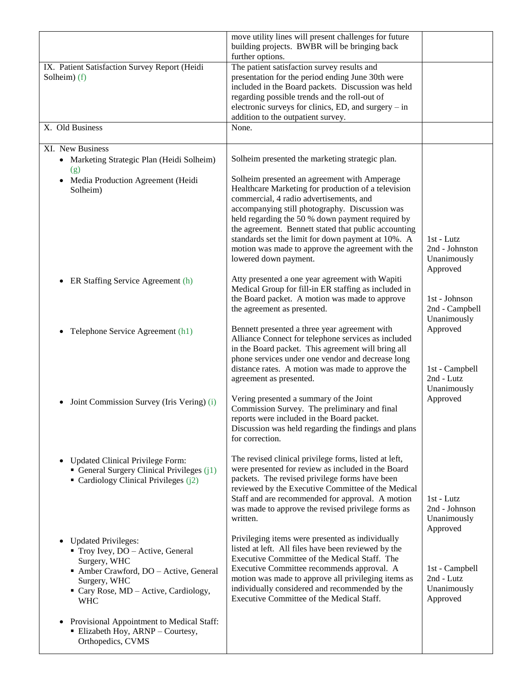|                                                                                                                                                                                                  | move utility lines will present challenges for future<br>building projects. BWBR will be bringing back<br>further options.                                                                                                                                                                                                                                                                                                                       |                                                         |
|--------------------------------------------------------------------------------------------------------------------------------------------------------------------------------------------------|--------------------------------------------------------------------------------------------------------------------------------------------------------------------------------------------------------------------------------------------------------------------------------------------------------------------------------------------------------------------------------------------------------------------------------------------------|---------------------------------------------------------|
| IX. Patient Satisfaction Survey Report (Heidi<br>Solheim) (f)                                                                                                                                    | The patient satisfaction survey results and<br>presentation for the period ending June 30th were<br>included in the Board packets. Discussion was held<br>regarding possible trends and the roll-out of<br>electronic surveys for clinics, ED, and surgery – in<br>addition to the outpatient survey.                                                                                                                                            |                                                         |
| X. Old Business                                                                                                                                                                                  | None.                                                                                                                                                                                                                                                                                                                                                                                                                                            |                                                         |
| XI. New Business<br>• Marketing Strategic Plan (Heidi Solheim)<br>(g)                                                                                                                            | Solheim presented the marketing strategic plan.                                                                                                                                                                                                                                                                                                                                                                                                  |                                                         |
| • Media Production Agreement (Heidi<br>Solheim)                                                                                                                                                  | Solheim presented an agreement with Amperage<br>Healthcare Marketing for production of a television<br>commercial, 4 radio advertisements, and<br>accompanying still photography. Discussion was<br>held regarding the 50 % down payment required by<br>the agreement. Bennett stated that public accounting<br>standards set the limit for down payment at 10%. A<br>motion was made to approve the agreement with the<br>lowered down payment. | 1st - Lutz<br>2nd - Johnston<br>Unanimously<br>Approved |
| ER Staffing Service Agreement (h)<br>$\bullet$                                                                                                                                                   | Atty presented a one year agreement with Wapiti<br>Medical Group for fill-in ER staffing as included in<br>the Board packet. A motion was made to approve<br>the agreement as presented.                                                                                                                                                                                                                                                         | 1st - Johnson<br>2nd - Campbell<br>Unanimously          |
| Telephone Service Agreement (h1)                                                                                                                                                                 | Bennett presented a three year agreement with<br>Alliance Connect for telephone services as included<br>in the Board packet. This agreement will bring all<br>phone services under one vendor and decrease long<br>distance rates. A motion was made to approve the<br>agreement as presented.                                                                                                                                                   | Approved<br>1st - Campbell<br>2nd - Lutz<br>Unanimously |
| Joint Commission Survey (Iris Vering) (i)<br>$\bullet$                                                                                                                                           | Vering presented a summary of the Joint<br>Commission Survey. The preliminary and final<br>reports were included in the Board packet.<br>Discussion was held regarding the findings and plans<br>for correction.                                                                                                                                                                                                                                 | Approved                                                |
| <b>Updated Clinical Privilege Form:</b><br>$\bullet$<br>General Surgery Clinical Privileges $(i1)$<br>Cardiology Clinical Privileges $(j2)$                                                      | The revised clinical privilege forms, listed at left,<br>were presented for review as included in the Board<br>packets. The revised privilege forms have been<br>reviewed by the Executive Committee of the Medical<br>Staff and are recommended for approval. A motion<br>was made to approve the revised privilege forms as<br>written.                                                                                                        | 1st - Lutz<br>2nd - Johnson<br>Unanimously<br>Approved  |
| <b>Updated Privileges:</b><br>$\bullet$<br>Troy Ivey, DO - Active, General<br>Surgery, WHC<br>Amber Crawford, DO - Active, General<br>Surgery, WHC<br>Cary Rose, MD - Active, Cardiology,<br>WHC | Privileging items were presented as individually<br>listed at left. All files have been reviewed by the<br>Executive Committee of the Medical Staff. The<br>Executive Committee recommends approval. A<br>motion was made to approve all privileging items as<br>individually considered and recommended by the<br>Executive Committee of the Medical Staff.                                                                                     | 1st - Campbell<br>2nd - Lutz<br>Unanimously<br>Approved |
| Provisional Appointment to Medical Staff:<br>$\bullet$<br>Elizabeth Hoy, ARNP - Courtesy,<br>Orthopedics, CVMS                                                                                   |                                                                                                                                                                                                                                                                                                                                                                                                                                                  |                                                         |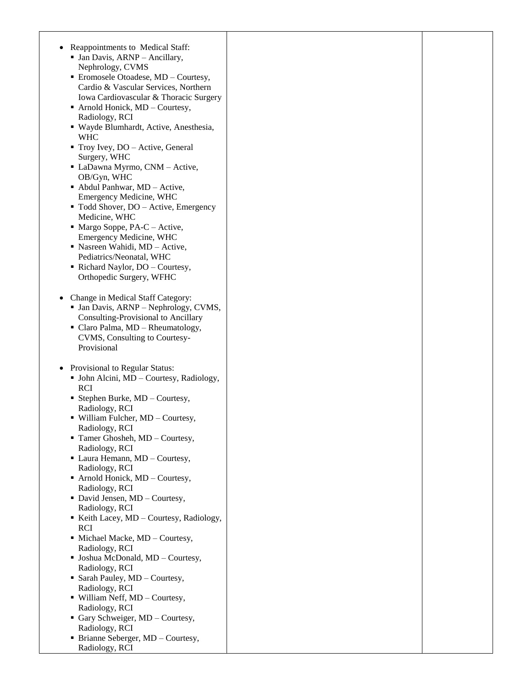| Reappointments to Medical Staff:               |  |
|------------------------------------------------|--|
|                                                |  |
| • Jan Davis, ARNP - Ancillary,                 |  |
| Nephrology, CVMS                               |  |
| • Eromosele Otoadese, MD - Courtesy,           |  |
| Cardio & Vascular Services, Northern           |  |
| Iowa Cardiovascular & Thoracic Surgery         |  |
| Arnold Honick, MD - Courtesy,                  |  |
| Radiology, RCI                                 |  |
| · Wayde Blumhardt, Active, Anesthesia,         |  |
| <b>WHC</b>                                     |  |
| $\blacksquare$ Troy Ivey, DO – Active, General |  |
| Surgery, WHC                                   |  |
| • LaDawna Myrmo, CNM - Active,                 |  |
| OB/Gyn, WHC                                    |  |
| • Abdul Panhwar, MD - Active,                  |  |
| <b>Emergency Medicine, WHC</b>                 |  |
|                                                |  |
| • Todd Shover, DO – Active, Emergency          |  |
| Medicine, WHC                                  |  |
| $\blacksquare$ Margo Soppe, PA-C – Active,     |  |
| Emergency Medicine, WHC                        |  |
| · Nasreen Wahidi, MD - Active,                 |  |
| Pediatrics/Neonatal, WHC                       |  |
| Richard Naylor, DO - Courtesy,                 |  |
| Orthopedic Surgery, WFHC                       |  |
|                                                |  |
| Change in Medical Staff Category:              |  |
| • Jan Davis, ARNP - Nephrology, CVMS,          |  |
| Consulting-Provisional to Ancillary            |  |
| • Claro Palma, MD - Rheumatology,              |  |
| CVMS, Consulting to Courtesy-                  |  |
| Provisional                                    |  |
|                                                |  |
|                                                |  |
| Provisional to Regular Status:<br>$\bullet$    |  |
| • John Alcini, MD - Courtesy, Radiology,       |  |
| <b>RCI</b>                                     |  |
| • Stephen Burke, MD - Courtesy,                |  |
| Radiology, RCI                                 |  |
| • William Fulcher, MD - Courtesy,              |  |
| Radiology, RCI                                 |  |
| $\blacksquare$ Tamer Ghosheh, MD - Courtesy,   |  |
| Radiology, RCI                                 |  |
| • Laura Hemann, MD - Courtesy,                 |  |
| Radiology, RCI                                 |  |
| Arnold Honick, MD - Courtesy,                  |  |
| Radiology, RCI                                 |  |
| • David Jensen, MD - Courtesy,                 |  |
| Radiology, RCI                                 |  |
| Keith Lacey, MD - Courtesy, Radiology,         |  |
| <b>RCI</b>                                     |  |
| • Michael Macke, MD - Courtesy,                |  |
| Radiology, RCI                                 |  |
| · Joshua McDonald, MD - Courtesy,              |  |
| Radiology, RCI                                 |  |
| • Sarah Pauley, MD - Courtesy,                 |  |
|                                                |  |
| Radiology, RCI                                 |  |
| • William Neff, MD - Courtesy,                 |  |
| Radiology, RCI                                 |  |
| Gary Schweiger, MD - Courtesy,                 |  |
| Radiology, RCI                                 |  |
| • Brianne Seberger, MD - Courtesy,             |  |
| Radiology, RCI                                 |  |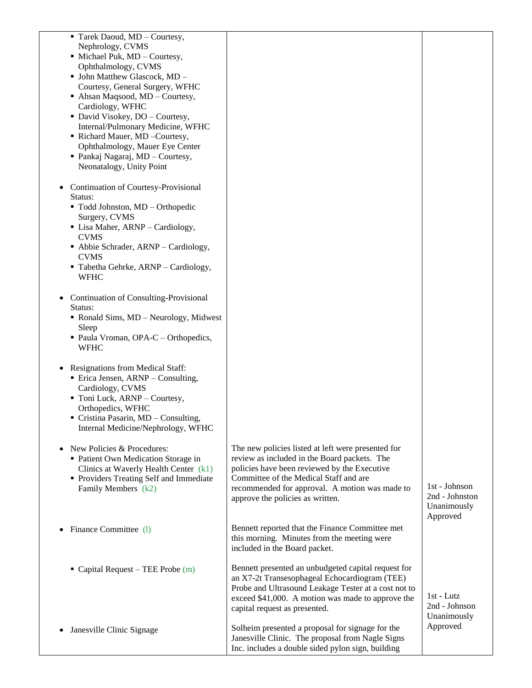| Tarek Daoud, MD - Courtesy,<br>Nephrology, CVMS<br>• Michael Puk, MD - Courtesy,<br>Ophthalmology, CVMS<br>· John Matthew Glascock, MD -<br>Courtesy, General Surgery, WFHC<br>• Ahsan Maqsood, MD - Courtesy,<br>Cardiology, WFHC<br>• David Visokey, DO - Courtesy,<br>Internal/Pulmonary Medicine, WFHC<br>Richard Mauer, MD-Courtesy,<br>Ophthalmology, Mauer Eye Center<br>• Pankaj Nagaraj, MD - Courtesy,<br>Neonatalogy, Unity Point<br>Continuation of Courtesy-Provisional |                                                                                                                                                                                                                                                                                    |                                                            |
|--------------------------------------------------------------------------------------------------------------------------------------------------------------------------------------------------------------------------------------------------------------------------------------------------------------------------------------------------------------------------------------------------------------------------------------------------------------------------------------|------------------------------------------------------------------------------------------------------------------------------------------------------------------------------------------------------------------------------------------------------------------------------------|------------------------------------------------------------|
| Status:<br>" Todd Johnston, MD - Orthopedic<br>Surgery, CVMS<br>• Lisa Maher, ARNP - Cardiology,<br><b>CVMS</b><br>• Abbie Schrader, ARNP – Cardiology,<br><b>CVMS</b><br>• Tabetha Gehrke, ARNP – Cardiology,<br><b>WFHC</b>                                                                                                                                                                                                                                                        |                                                                                                                                                                                                                                                                                    |                                                            |
| Continuation of Consulting-Provisional<br>Status:<br>• Ronald Sims, MD – Neurology, Midwest<br>Sleep<br>• Paula Vroman, OPA-C – Orthopedics,<br><b>WFHC</b>                                                                                                                                                                                                                                                                                                                          |                                                                                                                                                                                                                                                                                    |                                                            |
| <b>Resignations from Medical Staff:</b><br>• Erica Jensen, ARNP – Consulting,<br>Cardiology, CVMS<br>• Toni Luck, ARNP - Courtesy,<br>Orthopedics, WFHC<br>Cristina Pasarin, MD - Consulting,<br>Internal Medicine/Nephrology, WFHC                                                                                                                                                                                                                                                  |                                                                                                                                                                                                                                                                                    |                                                            |
| New Policies & Procedures:<br>• Patient Own Medication Storage in<br>Clinics at Waverly Health Center $(k1)$<br>• Providers Treating Self and Immediate<br>Family Members (k2)                                                                                                                                                                                                                                                                                                       | The new policies listed at left were presented for<br>review as included in the Board packets. The<br>policies have been reviewed by the Executive<br>Committee of the Medical Staff and are<br>recommended for approval. A motion was made to<br>approve the policies as written. | 1st - Johnson<br>2nd - Johnston<br>Unanimously<br>Approved |
| Finance Committee (1)                                                                                                                                                                                                                                                                                                                                                                                                                                                                | Bennett reported that the Finance Committee met<br>this morning. Minutes from the meeting were<br>included in the Board packet.                                                                                                                                                    |                                                            |
| • Capital Request – TEE Probe $(m)$                                                                                                                                                                                                                                                                                                                                                                                                                                                  | Bennett presented an unbudgeted capital request for<br>an X7-2t Transesophageal Echocardiogram (TEE)<br>Probe and Ultrasound Leakage Tester at a cost not to<br>exceed \$41,000. A motion was made to approve the<br>capital request as presented.                                 | 1st - Lutz<br>2nd - Johnson<br>Unanimously                 |
| Janesville Clinic Signage                                                                                                                                                                                                                                                                                                                                                                                                                                                            | Solheim presented a proposal for signage for the<br>Janesville Clinic. The proposal from Nagle Signs<br>Inc. includes a double sided pylon sign, building                                                                                                                          | Approved                                                   |